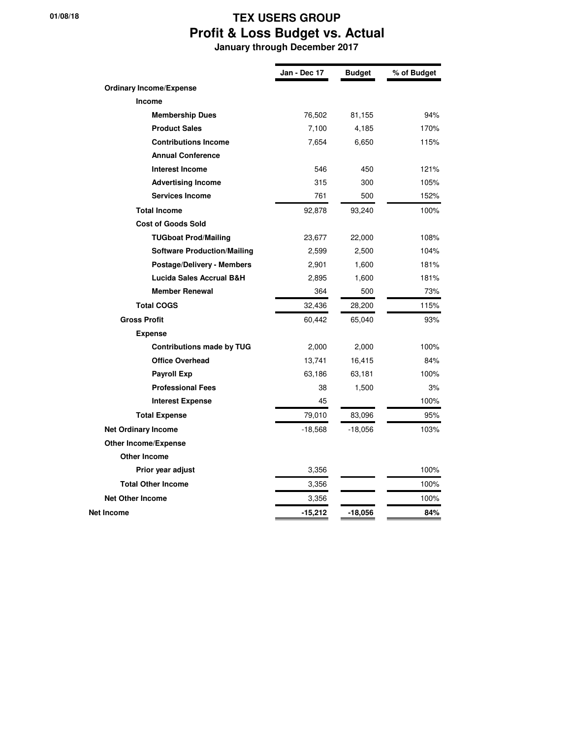## **01/08/18 TEX USERS GROUP Profit & Loss Budget vs. Actual**

 **January through December 2017**

|                                    | Jan - Dec 17 | <b>Budget</b> | % of Budget |
|------------------------------------|--------------|---------------|-------------|
| <b>Ordinary Income/Expense</b>     |              |               |             |
| Income                             |              |               |             |
| <b>Membership Dues</b>             | 76,502       | 81,155        | 94%         |
| <b>Product Sales</b>               | 7,100        | 4,185         | 170%        |
| <b>Contributions Income</b>        | 7,654        | 6,650         | 115%        |
| <b>Annual Conference</b>           |              |               |             |
| <b>Interest Income</b>             | 546          | 450           | 121%        |
| <b>Advertising Income</b>          | 315          | 300           | 105%        |
| <b>Services Income</b>             | 761          | 500           | 152%        |
| <b>Total Income</b>                | 92,878       | 93,240        | 100%        |
| <b>Cost of Goods Sold</b>          |              |               |             |
| <b>TUGboat Prod/Mailing</b>        | 23,677       | 22,000        | 108%        |
| <b>Software Production/Mailing</b> | 2,599        | 2,500         | 104%        |
| <b>Postage/Delivery - Members</b>  | 2,901        | 1,600         | 181%        |
| Lucida Sales Accrual B&H           | 2,895        | 1,600         | 181%        |
| <b>Member Renewal</b>              | 364          | 500           | 73%         |
| <b>Total COGS</b>                  | 32,436       | 28,200        | 115%        |
| <b>Gross Profit</b>                | 60,442       | 65,040        | 93%         |
| <b>Expense</b>                     |              |               |             |
| <b>Contributions made by TUG</b>   | 2,000        | 2,000         | 100%        |
| <b>Office Overhead</b>             | 13,741       | 16,415        | 84%         |
| <b>Payroll Exp</b>                 | 63,186       | 63,181        | 100%        |
| <b>Professional Fees</b>           | 38           | 1,500         | 3%          |
| <b>Interest Expense</b>            | 45           |               | 100%        |
| <b>Total Expense</b>               | 79,010       | 83,096        | 95%         |
| <b>Net Ordinary Income</b>         | -18,568      | -18,056       | 103%        |
| <b>Other Income/Expense</b>        |              |               |             |
| <b>Other Income</b>                |              |               |             |
| Prior year adjust                  | 3,356        |               | 100%        |
| <b>Total Other Income</b>          | 3,356        |               | 100%        |
| <b>Net Other Income</b>            | 3,356        |               | 100%        |
| Net Income                         | $-15,212$    | -18,056       | 84%         |